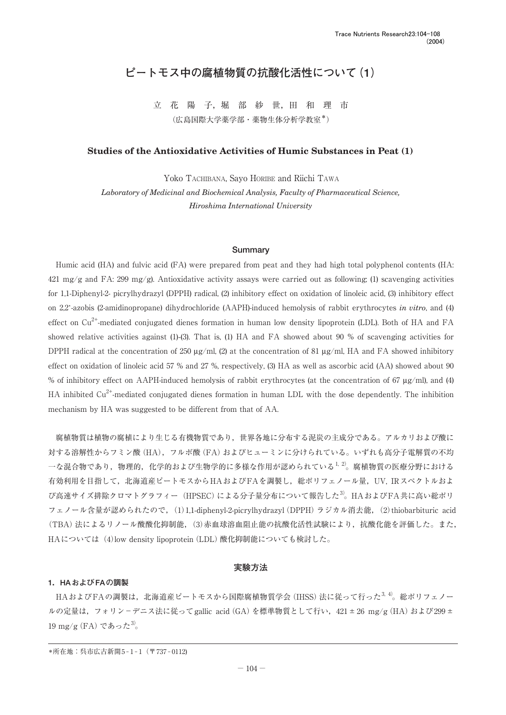# **ピートモス中の腐植物質の抗酸化活性について(1)**

立 花 陽 子, 堀 部 紗 世, 田 和 理 市 (広島国際大学薬学部・薬物生体分析学教室\*)

## **Studies of the Antioxidative Activities of Humic Substances in Peat (1)**

Yoko TACHIBANA, Sayo HORIBE and Riichi TAWA *Laboratory of Medicinal and Biochemical Analysis, Faculty of Pharmaceutical Science, Hiroshima International University*

#### **Summary**

Humic acid (HA) and fulvic acid (FA) were prepared from peat and they had high total polyphenol contents (HA: 421 mg/g and FA: 299 mg/g). Antioxidative activity assays were carried out as following; (1) scavenging activities for 1,1-Diphenyl-2- picrylhydrazyl (DPPH) radical, (2) inhibitory effect on oxidation of linoleic acid, (3) inhibitory effect on 2,2'-azobis (2-amidinopropane) dihydrochloride (AAPH)-induced hemolysis of rabbit erythrocytes *in vitro*, and (4) effect on  $Cu^{2+}$ -mediated conjugated dienes formation in human low density lipoprotein (LDL). Both of HA and FA showed relative activities against (1)-(3). That is, (1) HA and FA showed about 90 % of scavenging activities for DPPH radical at the concentration of 250  $\mu$ g/ml, (2) at the concentration of 81  $\mu$ g/ml, HA and FA showed inhibitory effect on oxidation of linoleic acid 57 % and 27 %, respectively, (3) HA as well as ascorbic acid (AA) showed about 90 % of inhibitory effect on AAPH-induced hemolysis of rabbit erythrocytes (at the concentration of 67 µg/ml), and (4) HA inhibited Cu<sup>2+</sup>-mediated conjugated dienes formation in human LDL with the dose dependently. The inhibition mechanism by HA was suggested to be different from that of AA.

腐植物質は植物の腐植により生じる有機物質であり,世界各地に分布する泥炭の主成分である。アルカリおよび酸に 対する溶解性からフミン酸(HA),フルボ酸(FA)およびヒューミンに分けられている。いずれも高分子電解質の不均  $-$ な混合物であり、物理的,化学的および生物学的に多様な作用が認められている $^{1,2}$ 。腐植物質の医療分野における 有効利用を目指して、北海道産ピートモスからHAおよびFAを調製し、総ポリフェノール量,UV, IRスペクトルおよ び高速サイズ排除クロマトグラフィー (HPSEC)による分子量分布について報告した<sup>3)</sup>。HAおよびFA共に高い総ポリ フェノール含量が認められたので,(1)1,1-diphenyl-2-picrylhydrazyl(DPPH)ラジカル消去能,(2)thiobarbituric acid (TBA)法によるリノール酸酸化抑制能,(3)赤血球溶血阻止能の抗酸化活性試験により,抗酸化能を評価した。また, HAについては(4)low density lipoprotein (LDL) 酸化抑制能についても検討した。

### **実験方法**

## **1.HAおよびFAの調製**

HAおよびFAの調製は、北海道産ピートモスから国際腐植物質学会(IHSS)法に従って行った<sup>3, 4)</sup>。総ポリフェノー ルの定量は、フォリン-デニス法に従ってgallic acid (GA)を標準物質として行い、421 ± 26 mg/g (HA) および299 ± 19 mg/g (FA) であった $3$ 。

<sup>\*</sup>所在地:呉市広古新開5-1-1(〒737-0112)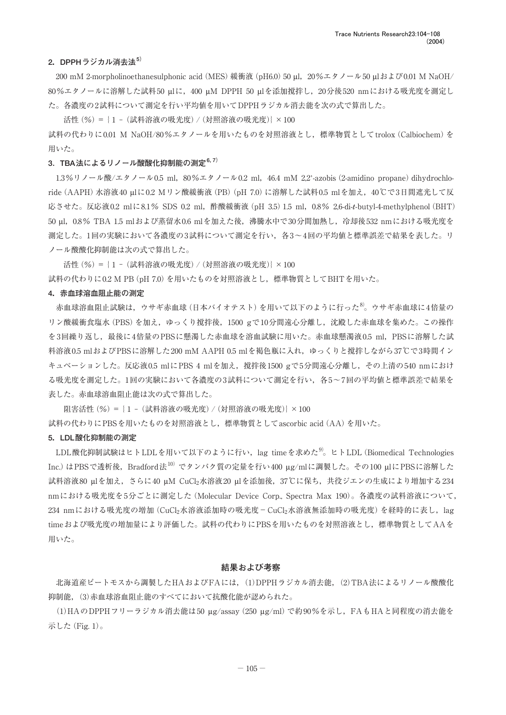## **2.DPPHラジカル消去法5)**

200 mM 2-morpholinoethanesulphonic acid (MES) 緩衝液 (pH6.0) 50 µl, 20%エタノール50 µlおよび0.01 M NaOH/ 80%エタノールに溶解した試料50 µlに,400 µM DPPH 50 µlを添加撹拌し,20分後520 nmにおける吸光度を測定し た。各濃度の2試料について測定を行い平均値を用いてDPPHラジカル消去能を次の式で算出した。

活性(%) = {1 - (試料溶液の吸光度) / (対照溶液の吸光度)} × 100 試料の代わりに0.01 M NaOH/80%エタノールを用いたものを対照溶液とし,標準物質としてtrolox(Calbiochem)を 用いた。

## **3**.**TBA法によるリノール酸酸化抑制能の測定6, 7)**

1.3%リノール酸/エタノール0.5 ml, 80%エタノール0.2 ml, 46.4 mM 2.2'-azobis (2-amidino propane) dihydrochloride(AAPH)水溶液40 µlに0.2 Mリン酸緩衝液(PB)(pH 7.0)に溶解した試料0.5 mlを加え,40℃で3日間遮光して反 応させた。反応液0.2 mlに8.1% SDS 0.2 ml,酢酸緩衝液(pH 3.5)1.5 ml,0.8% 2,6-di-*t*-butyl-4-methylphenol(BHT) 50 µl,0.8% TBA 1.5 mlおよび蒸留水0.6 mlを加えた後,沸騰水中で30分間加熱し,冷却後532 nmにおける吸光度を 測定した。1回の実験において各濃度の3試料について測定を行い,各3~4回の平均値と標準誤差で結果を表した。リ ノール酸酸化抑制能は次の式で算出した。

活性(%) = {1 - (試料溶液の吸光度) / (対照溶液の吸光度)} × 100 試料の代わりに0.2 M PB(pH 7.0)を用いたものを対照溶液とし,標準物質としてBHTを用いた。

### **4.赤血球溶血阻止能の測定**

赤血球溶血阻止試験は、ウサギ赤血球(日本バイオテスト)を用いて以下のように行った<sup>8)</sup>。ウサギ赤血球に4倍量の リン酸緩衝食塩水(PBS)を加え,ゆっくり撹拌後,1500 gで10分間遠心分離し,沈殿した赤血球を集めた。この操作 を3回繰り返し、最後に4倍量のPBSに懸濁した赤血球を溶血試験に用いた。赤血球懸濁液0.5 ml, PBSに溶解した試 料溶液0.5 mlおよびPBSに溶解した200 mM AAPH 0.5 mlを褐色瓶に入れ、ゆっくりと撹拌しながら37℃で3時間イン キュベーションした。反応液0.5 mlにPBS 4 mlを加え,撹拌後1500 gで5分間遠心分離し,その上清の540 nmにおけ る吸光度を測定した。1回の実験において各濃度の3試料について測定を行い,各5~7回の平均値と標準誤差で結果を 表した。赤血球溶血阻止能は次の式で算出した。

阻害活性(%) = {1 - (試料溶液の吸光度)/(対照溶液の吸光度)} × 100 試料の代わりにPBSを用いたものを対照溶液とし,標準物質としてascorbic acid(AA)を用いた。

### **5.LDL酸化抑制能の測定**

LDL酸化抑制試験はヒトLDLを用いて以下のように行い, lag timeを求めた<sup>9)</sup>。ヒトLDL(Biomedical Technologies Inc.)はPBSで透析後, Bradford法10)でタンパク質の定量を行い400 µg/mlに調製した。その100 µlにPBSに溶解した 試料溶液80 µlを加え,さらに40 µM CuCl2水溶液20 µlを添加後,37℃に保ち,共役ジエンの生成により増加する234 nmにおける吸光度を5分ごとに測定した(Molecular Device Corp., Spectra Max 190)。各濃度の試料溶液について, 234 nmにおける吸光度の増加 (CuCl2水溶液添加時の吸光度-CuCl2水溶液無添加時の吸光度) を経時的に表し, lag timeおよび吸光度の増加量により評価した。試料の代わりにPBSを用いたものを対照溶液とし,標準物質としてAAを 用いた。

### **結果および考察**

北海道産ピートモスから調製したHAおよびFAには,(1)DPPHラジカル消去能,(2)TBA法によるリノール酸酸化 抑制能,(3)赤血球溶血阻止能のすべてにおいて抗酸化能が認められた。

(1)HAのDPPHフリーラジカル消去能は50 µg/assay(250 µg/ml)で約90%を示し,FAもHAと同程度の消去能を 示した(Fig. 1)。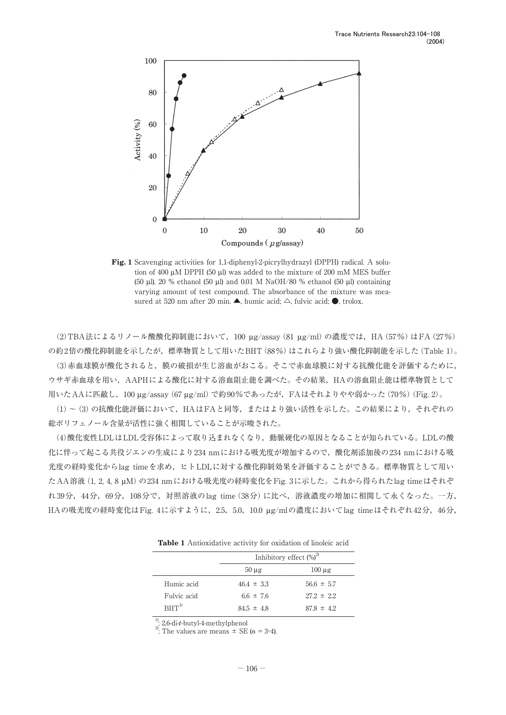

**Fig. 1** Scavenging activities for 1,1-diphenyl-2-picrylhydrazyl (DPPH) radical. A solution of 400 µM DPPH (50 µl) was added to the mixture of 200 mM MES buffer (50 µl), 20 % ethanol (50 µl) and 0.01 M NaOH/80 % ethanol (50 µl) containing varying amount of test compound. The absorbance of the mixture was measured at 520 nm after 20 min.  $\blacktriangle$ , humic acid;  $\triangle$ , fulvic acid;  $\blacklozenge$ , trolox.

(2)TBA法によるリノール酸酸化抑制能において,100 µg/assay(81 µg/ml)の濃度では,HA(57%)はFA(27%) の約2倍の酸化抑制能を示したが,標準物質として用いたBHT(88%)はこれらより強い酸化抑制能を示した(Table 1)。

(3)赤血球膜が酸化されると,膜の破損が生じ溶血がおこる。そこで赤血球膜に対する抗酸化能を評価するために, ウサギ赤血球を用い,AAPHによる酸化に対する溶血阻止能を調べた。その結果,HAの溶血阻止能は標準物質として 用いたAAに匹敵し,100 µg/assay(67 µg/ml)で約90%であったが,FAはそれよりやや弱かった(70%)(Fig. 2)。

(1)~(3)の抗酸化能評価において,HAはFAと同等,またはより強い活性を示した。この結果により,それぞれの 総ポリフェノール含量が活性に強く相関していることが示唆された。

(4)酸化変性LDLはLDL受容体によって取り込まれなくなり,動脈硬化の原因となることが知られている。LDLの酸 化に伴って起こる共役ジエンの生成により234 nmにおける吸光度が増加するので,酸化剤添加後の234 nmにおける吸 光度の経時変化からlag timeを求め,ヒトLDLに対する酸化抑制効果を評価することができる。標準物質として用い たAA溶液(1, 2, 4, 8 μM)の234 nmにおける吸光度の経時変化をFig. 3に示した。これから得られたlag timeはそれぞ れ39分,44分,69分,108分で,対照溶液のlag time(38分)に比べ,溶液濃度の増加に相関して永くなった。一方, HAの吸光度の経時変化はFig. 4に示すように,2.5,5.0,10.0 µg/mlの濃度においてlag timeはそれぞれ42分,46分,

**Table 1** Antioxidative activity for oxidation of linoleic acid

|             | Inhibitory effect $(\%)^2$ |                |
|-------------|----------------------------|----------------|
|             | $50 \mu g$                 | $100 \mu$ g    |
| Humic acid  | $46.4 \pm 3.3$             | $56.6 \pm 5.7$ |
| Fulvic acid | 66 $\pm$ 76                | $272 \pm 22$   |
| $BHT^{1}$   | $84.5 \pm 4.8$             | $878 \pm 42$   |

<sup>1)</sup>: 2,6-di-*t*-butyl-4-methylphenol <sup>2)</sup>: The values are means  $\pm$  SE (*n* = 3-4).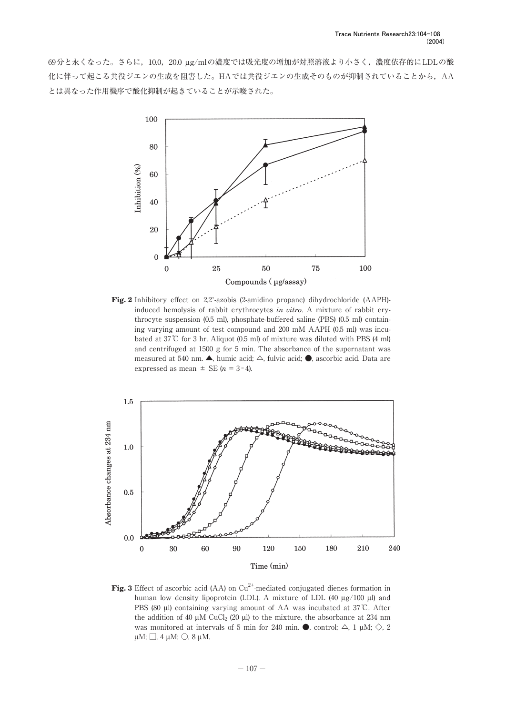69分と永くなった。さらに,10.0,20.0 µg/mlの濃度では吸光度の増加が対照溶液より小さく,濃度依存的にLDLの酸 化に伴って起こる共役ジエンの生成を阻害した。HAでは共役ジエンの生成そのものが抑制されていることから, AA とは異なった作用機序で酸化抑制が起きていることが示唆された。



**Fig. 2** Inhibitory effect on 2.2'-azobis (2-amidino propane) dihydrochloride (AAPH)induced hemolysis of rabbit erythrocytes *in vitro*. A mixture of rabbit erythrocyte suspension (0.5 ml), phosphate-buffered saline (PBS) (0.5 ml) containing varying amount of test compound and 200 mM AAPH (0.5 ml) was incubated at 37℃ for 3 hr. Aliquot (0.5 ml) of mixture was diluted with PBS (4 ml) and centrifuged at 1500 g for 5 min. The absorbance of the supernatant was measured at 540 nm. ▲, humic acid; △, fulvic acid; ●, ascorbic acid. Data are expressed as mean  $\pm$  SE ( $n = 3-4$ ).



**Fig. 3** Effect of ascorbic acid (AA) on Cu<sup>2+</sup>-mediated conjugated dienes formation in human low density lipoprotein (LDL). A mixture of LDL (40  $\mu$ g/100  $\mu$ l) and PBS (80 µl) containing varying amount of AA was incubated at 37℃. After the addition of 40  $\mu$ M CuCl<sub>2</sub> (20  $\mu$ l) to the mixture, the absorbance at 234 nm was monitored at intervals of 5 min for 240 min.  $\bullet$ , control;  $\triangle$ , 1 µM;  $\diamondsuit$ , 2  $\upmu\text{M}; \square, 4 \upmu\text{M}; \bigcirc$ , 8 $\upmu\text{M}.$